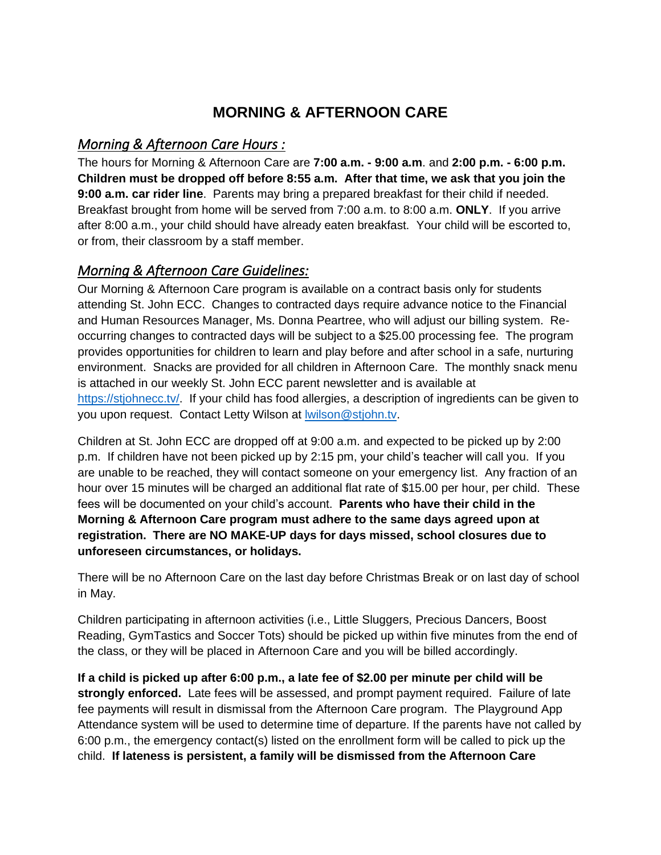## **MORNING & AFTERNOON CARE**

## *Morning & Afternoon Care Hours :*

The hours for Morning & Afternoon Care are **7:00 a.m. - 9:00 a.m**. and **2:00 p.m. - 6:00 p.m. Children must be dropped off before 8:55 a.m. After that time, we ask that you join the 9:00 a.m. car rider line**. Parents may bring a prepared breakfast for their child if needed. Breakfast brought from home will be served from 7:00 a.m. to 8:00 a.m. **ONLY**. If you arrive after 8:00 a.m., your child should have already eaten breakfast. Your child will be escorted to, or from, their classroom by a staff member.

## *Morning & Afternoon Care Guidelines:*

Our Morning & Afternoon Care program is available on a contract basis only for students attending St. John ECC. Changes to contracted days require advance notice to the Financial and Human Resources Manager, Ms. Donna Peartree, who will adjust our billing system. Reoccurring changes to contracted days will be subject to a \$25.00 processing fee. The program provides opportunities for children to learn and play before and after school in a safe, nurturing environment. Snacks are provided for all children in Afternoon Care. The monthly snack menu is attached in our weekly St. John ECC parent newsletter and is available at [https://stjohnecc.tv/.](https://stjohnecc.tv/) If your child has food allergies, a description of ingredients can be given to you upon request. Contact Letty Wilson at [lwilson@stjohn.tv.](mailto:lwilson@stjohn.tv)

Children at St. John ECC are dropped off at 9:00 a.m. and expected to be picked up by 2:00 p.m. If children have not been picked up by 2:15 pm, your child's teacher will call you. If you are unable to be reached, they will contact someone on your emergency list. Any fraction of an hour over 15 minutes will be charged an additional flat rate of \$15.00 per hour, per child. These fees will be documented on your child's account. **Parents who have their child in the Morning & Afternoon Care program must adhere to the same days agreed upon at registration. There are NO MAKE-UP days for days missed, school closures due to unforeseen circumstances, or holidays.**

There will be no Afternoon Care on the last day before Christmas Break or on last day of school in May.

Children participating in afternoon activities (i.e., Little Sluggers, Precious Dancers, Boost Reading, GymTastics and Soccer Tots) should be picked up within five minutes from the end of the class, or they will be placed in Afternoon Care and you will be billed accordingly.

**If a child is picked up after 6:00 p.m., a late fee of \$2.00 per minute per child will be strongly enforced.** Late fees will be assessed, and prompt payment required. Failure of late fee payments will result in dismissal from the Afternoon Care program. The Playground App Attendance system will be used to determine time of departure. If the parents have not called by 6:00 p.m., the emergency contact(s) listed on the enrollment form will be called to pick up the child. **If lateness is persistent, a family will be dismissed from the Afternoon Care**